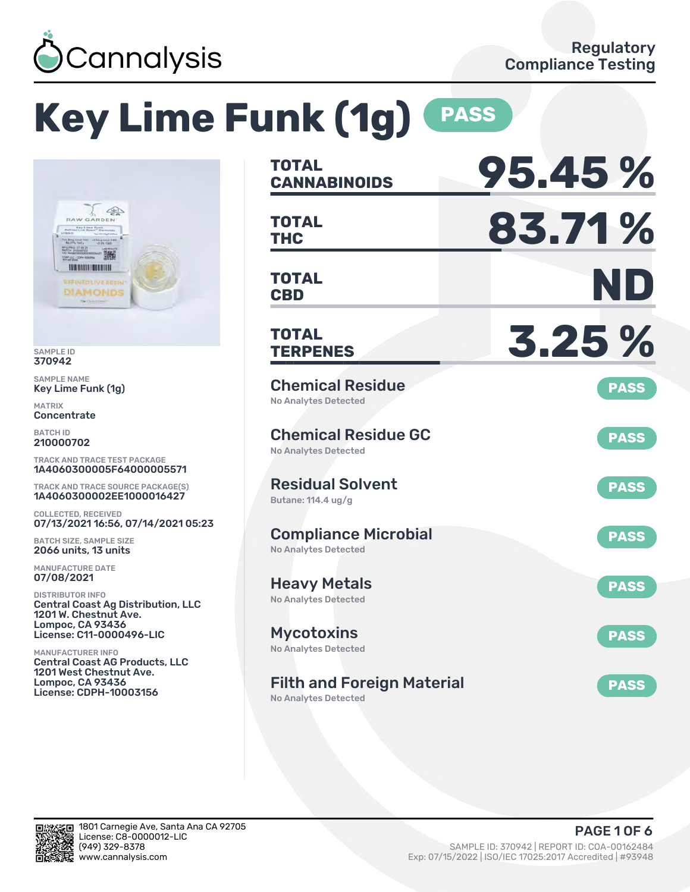

# **Key Lime Funk (1g) PASS**



SAMPLE ID 370942

SAMPLE NAME Key Lime Funk (1g)

MATRIX **Concentrate** 

BATCH ID 210000702

TRACK AND TRACE TEST PACKAGE 1A4060300005F64000005571

TRACK AND TRACE SOURCE PACKAGE(S) 1A4060300002EE1000016427

COLLECTED, RECEIVED 07/13/2021 16:56, 07/14/2021 05:23

BATCH SIZE, SAMPLE SIZE 2066 units, 13 units

MANUFACTURE DATE 07/08/2021

DISTRIBUTOR INFO Central Coast Ag Distribution, LLC 1201 W. Chestnut Ave. Lompoc, CA 93436 License: C11-0000496-LIC

MANUFACTURER INFO Central Coast AG Products, LLC 1201 West Chestnut Ave. Lompoc, CA 93436 License: CDPH-10003156

| TOTAL<br><b>CANNABINOIDS</b>                              | 95.45%      |
|-----------------------------------------------------------|-------------|
| <b>TOTAL</b><br>THC                                       | 83.71%      |
| <b>TOTAL</b><br><b>CBD</b>                                | ND          |
| TOTAL<br><b>TERPENES</b>                                  | 3.25 %      |
| <b>Chemical Residue</b><br><b>No Analytes Detected</b>    | <b>PASS</b> |
| <b>Chemical Residue GC</b><br><b>No Analytes Detected</b> | <b>PASS</b> |
| <b>Residual Solvent</b><br>Butane: 114.4 ug/g             | <b>PASS</b> |
| <b>Compliance Microbial</b><br>No Analytes Detected       | <b>PASS</b> |
| <b>Heavy Metals</b><br><b>No Analytes Detected</b>        | <b>PASS</b> |
| <b>Mycotoxins</b><br>No Analytes Detected                 | <b>PASS</b> |
| <b>Filth and Foreign Material</b>                         | <b>PASS</b> |

No Analytes Detected

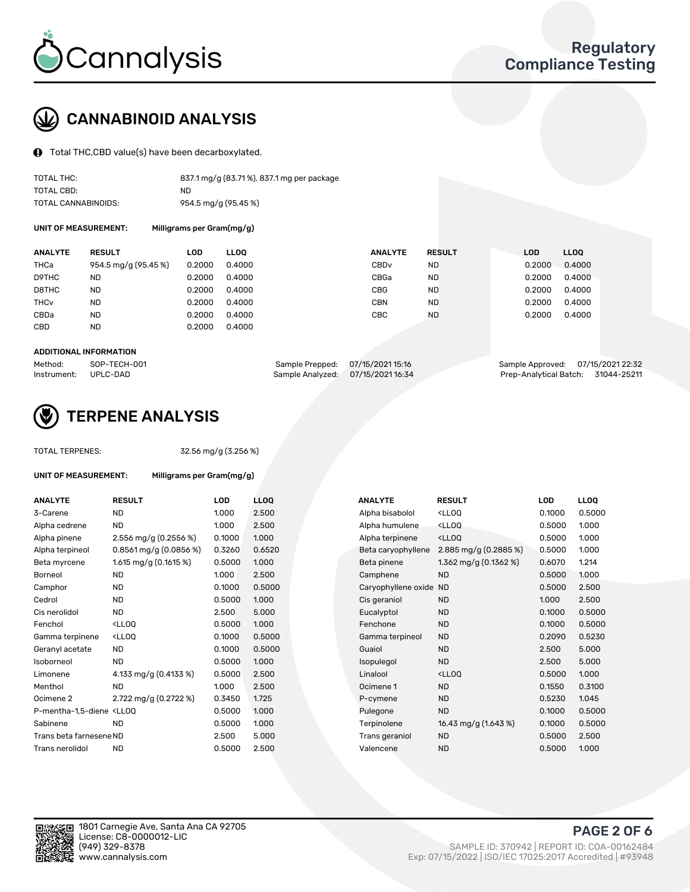

### CANNABINOID ANALYSIS

Total THC,CBD value(s) have been decarboxylated.

| TOTAL THC:          | 837.1 mg/g (83.71%), 837.1 mg per package |
|---------------------|-------------------------------------------|
| TOTAL CBD:          | ND.                                       |
| TOTAL CANNABINOIDS: | 954.5 mg/g (95.45 %)                      |

UNIT OF MEASUREMENT: Milligrams per Gram(mg/g)

| <b>ANALYTE</b>         | <b>RESULT</b>        | LOD    | <b>LLOO</b> | <b>ANALYTE</b>   | <b>RESULT</b> | <b>LOD</b> | <b>LLOQ</b> |
|------------------------|----------------------|--------|-------------|------------------|---------------|------------|-------------|
| THCa                   | 954.5 mg/g (95.45 %) | 0.2000 | 0.4000      | CBD <sub>v</sub> | <b>ND</b>     | 0.2000     | 0.4000      |
| D9THC                  | ND                   | 0.2000 | 0.4000      | CBGa             | <b>ND</b>     | 0.2000     | 0.4000      |
| D8THC                  | <b>ND</b>            | 0.2000 | 0.4000      | <b>CBG</b>       | <b>ND</b>     | 0.2000     | 0.4000      |
| <b>THC<sub>v</sub></b> | <b>ND</b>            | 0.2000 | 0.4000      | <b>CBN</b>       | <b>ND</b>     | 0.2000     | 0.4000      |
| CBDa                   | <b>ND</b>            | 0.2000 | 0.4000      | CBC              | <b>ND</b>     | 0.2000     | 0.4000      |
| <b>CBD</b>             | <b>ND</b>            | 0.2000 | 0.4000      |                  |               |            |             |
|                        |                      |        |             |                  |               |            |             |

#### ADDITIONAL INFORMATION

| Method:              | SOP-TECH-001 | Sample Prepped: 07/15/2021 15:16  | Sample Approved: 07/15/2021 22:32  |  |
|----------------------|--------------|-----------------------------------|------------------------------------|--|
| Instrument: UPLC-DAD |              | Sample Analyzed: 07/15/2021 16:34 | Prep-Analytical Batch: 31044-25211 |  |



### TERPENE ANALYSIS

UNIT OF MEASUREMENT: Milligrams per Gram(mg/g)

|  | <b>TOTAL TERPENES:</b> |
|--|------------------------|
|--|------------------------|

32.56 mg/g (3.256 %)

| <b>ANALYTE</b>                                                                                                                                  | <b>RESULT</b>                                                                                                               | <b>LOD</b> | <b>LLOO</b> | <b>ANALYTE</b>         | <b>RESULT</b>                                       | <b>LOD</b> | <b>LLOO</b> |
|-------------------------------------------------------------------------------------------------------------------------------------------------|-----------------------------------------------------------------------------------------------------------------------------|------------|-------------|------------------------|-----------------------------------------------------|------------|-------------|
| 3-Carene                                                                                                                                        | <b>ND</b>                                                                                                                   | 1.000      | 2.500       | Alpha bisabolol        | <ll0q< td=""><td>0.1000</td><td>0.5000</td></ll0q<> | 0.1000     | 0.5000      |
| Alpha cedrene                                                                                                                                   | <b>ND</b>                                                                                                                   | 1.000      | 2.500       | Alpha humulene         | <lloq< td=""><td>0.5000</td><td>1.000</td></lloq<>  | 0.5000     | 1.000       |
| Alpha pinene                                                                                                                                    | 2.556 mg/g (0.2556 %)                                                                                                       | 0.1000     | 1.000       | Alpha terpinene        | <lloq< td=""><td>0.5000</td><td>1.000</td></lloq<>  | 0.5000     | 1.000       |
| Alpha terpineol                                                                                                                                 | $0.8561$ mg/g $(0.0856%)$                                                                                                   | 0.3260     | 0.6520      | Beta caryophyllene     | 2.885 mg/g (0.2885 %)                               | 0.5000     | 1.000       |
| Beta myrcene                                                                                                                                    | 1.615 mg/g $(0.1615%)$                                                                                                      | 0.5000     | 1.000       | Beta pinene            | 1.362 mg/g $(0.1362\%)$                             | 0.6070     | 1.214       |
| <b>Borneol</b>                                                                                                                                  | <b>ND</b>                                                                                                                   | 1.000      | 2.500       | Camphene               | <b>ND</b>                                           | 0.5000     | 1.000       |
| Camphor                                                                                                                                         | <b>ND</b>                                                                                                                   | 0.1000     | 0.5000      | Caryophyllene oxide ND |                                                     | 0.5000     | 2.500       |
| Cedrol                                                                                                                                          | <b>ND</b>                                                                                                                   | 0.5000     | 1.000       | Cis geraniol           | <b>ND</b>                                           | 1.000      | 2.500       |
| Cis nerolidol                                                                                                                                   | <b>ND</b>                                                                                                                   | 2.500      | 5.000       | Eucalyptol             | <b>ND</b>                                           | 0.1000     | 0.5000      |
| Fenchol                                                                                                                                         | <lloo< td=""><td>0.5000</td><td>1.000</td><td>Fenchone</td><td><b>ND</b></td><td>0.1000</td><td>0.5000</td></lloo<>         | 0.5000     | 1.000       | Fenchone               | <b>ND</b>                                           | 0.1000     | 0.5000      |
| Gamma terpinene                                                                                                                                 | <lloo< td=""><td>0.1000</td><td>0.5000</td><td>Gamma terpineol</td><td><b>ND</b></td><td>0.2090</td><td>0.5230</td></lloo<> | 0.1000     | 0.5000      | Gamma terpineol        | <b>ND</b>                                           | 0.2090     | 0.5230      |
| Geranyl acetate                                                                                                                                 | <b>ND</b>                                                                                                                   | 0.1000     | 0.5000      | Guaiol                 | <b>ND</b>                                           | 2.500      | 5.000       |
| Isoborneol                                                                                                                                      | <b>ND</b>                                                                                                                   | 0.5000     | 1.000       | Isopulegol             | <b>ND</b>                                           | 2.500      | 5.000       |
| Limonene                                                                                                                                        | 4.133 mg/g (0.4133 %)                                                                                                       | 0.5000     | 2.500       | Linalool               | <lloq< td=""><td>0.5000</td><td>1.000</td></lloq<>  | 0.5000     | 1.000       |
| Menthol                                                                                                                                         | <b>ND</b>                                                                                                                   | 1.000      | 2.500       | Ocimene 1              | <b>ND</b>                                           | 0.1550     | 0.3100      |
| Ocimene <sub>2</sub>                                                                                                                            | 2.722 mg/g (0.2722 %)                                                                                                       | 0.3450     | 1.725       | P-cymene               | <b>ND</b>                                           | 0.5230     | 1.045       |
| P-mentha-1.5-diene <ll00< td=""><td></td><td>0.5000</td><td>1.000</td><td>Pulegone</td><td><b>ND</b></td><td>0.1000</td><td>0.5000</td></ll00<> |                                                                                                                             | 0.5000     | 1.000       | Pulegone               | <b>ND</b>                                           | 0.1000     | 0.5000      |
| Sabinene                                                                                                                                        | <b>ND</b>                                                                                                                   | 0.5000     | 1.000       | Terpinolene            | 16.43 mg/g (1.643 %)                                | 0.1000     | 0.5000      |
| Trans beta farnesene ND                                                                                                                         |                                                                                                                             | 2.500      | 5.000       | Trans geraniol         | <b>ND</b>                                           | 0.5000     | 2.500       |
| Trans nerolidol                                                                                                                                 | <b>ND</b>                                                                                                                   | 0.5000     | 2.500       | Valencene              | <b>ND</b>                                           | 0.5000     | 1.000       |
|                                                                                                                                                 |                                                                                                                             |            |             |                        |                                                     |            |             |

| <b>ANALYTE</b>      | <b>RESULT</b>                                       | LOD    | <b>LLOO</b> |
|---------------------|-----------------------------------------------------|--------|-------------|
| Alpha bisabolol     | <lloq< td=""><td>0.1000</td><td>0.5000</td></lloq<> | 0.1000 | 0.5000      |
| Alpha humulene      | <lloq< td=""><td>0.5000</td><td>1.000</td></lloq<>  | 0.5000 | 1.000       |
| Alpha terpinene     | <lloq< td=""><td>0.5000</td><td>1.000</td></lloq<>  | 0.5000 | 1.000       |
| Beta caryophyllene  | 2.885 mg/g $(0.2885\%)$                             | 0.5000 | 1.000       |
| Beta pinene         | 1.362 mg/g (0.1362 %)                               | 0.6070 | 1.214       |
| Camphene            | <b>ND</b>                                           | 0.5000 | 1.000       |
| Caryophyllene oxide | <b>ND</b>                                           | 0.5000 | 2.500       |
| Cis geraniol        | <b>ND</b>                                           | 1.000  | 2.500       |
| Eucalyptol          | <b>ND</b>                                           | 0.1000 | 0.5000      |
| Fenchone            | <b>ND</b>                                           | 0.1000 | 0.5000      |
| Gamma terpineol     | <b>ND</b>                                           | 0.2090 | 0.5230      |
| Guaiol              | <b>ND</b>                                           | 2.500  | 5.000       |
| <b>sopulegol</b>    | <b>ND</b>                                           | 2.500  | 5.000       |
| Linalool            | <lloo< td=""><td>0.5000</td><td>1.000</td></lloo<>  | 0.5000 | 1.000       |
| Ocimene 1           | <b>ND</b>                                           | 0.1550 | 0.3100      |
| P-cymene            | <b>ND</b>                                           | 0.5230 | 1.045       |
| Pulegone            | <b>ND</b>                                           | 0.1000 | 0.5000      |
| Terpinolene         | 16.43 mg/g (1.643 %)                                | 0.1000 | 0.5000      |
| Trans geraniol      | <b>ND</b>                                           | 0.5000 | 2.500       |
| Valencene           | <b>ND</b>                                           | 0.5000 | 1.000       |

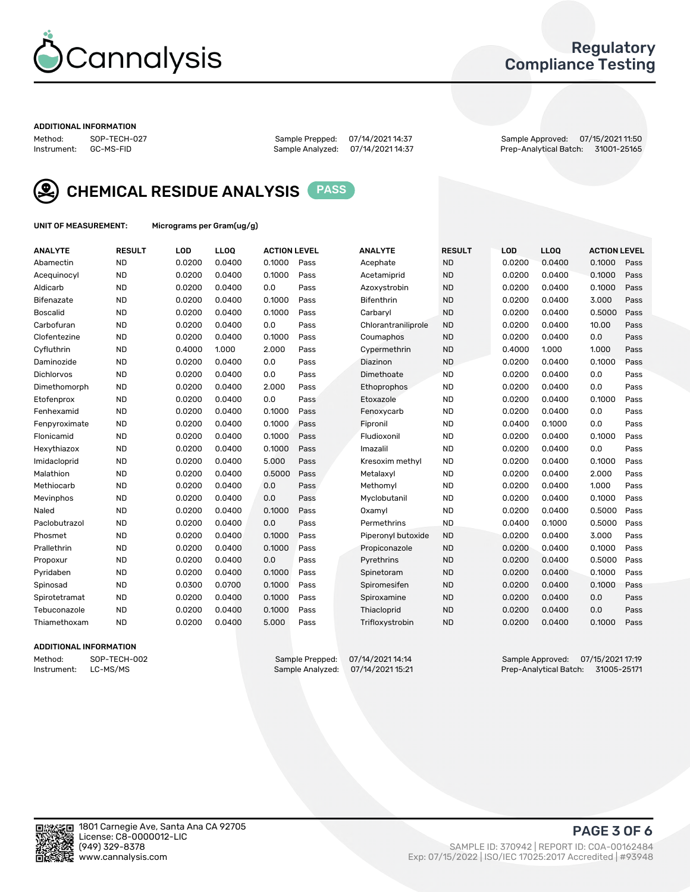

### Regulatory Compliance Testing

#### ADDITIONAL INFORMATION

Method: SOP-TECH-027 Sample Prepped: 07/14/2021 14:37 Sample Approved: 07/15/2021 11:50 Prep-Analytical Batch: 31001-25165



CHEMICAL RESIDUE ANALYSIS PASS

UNIT OF MEASUREMENT: Micrograms per Gram(ug/g)

| <b>ANALYTE</b>  | <b>RESULT</b> | LOD    | LL <sub>OO</sub> | <b>ACTION LEVEL</b> |      | <b>ANALYTE</b>      | <b>RESULT</b> | LOD    | <b>LLOQ</b> | <b>ACTION LEVEL</b> |      |
|-----------------|---------------|--------|------------------|---------------------|------|---------------------|---------------|--------|-------------|---------------------|------|
| Abamectin       | <b>ND</b>     | 0.0200 | 0.0400           | 0.1000              | Pass | Acephate            | <b>ND</b>     | 0.0200 | 0.0400      | 0.1000              | Pass |
| Acequinocyl     | <b>ND</b>     | 0.0200 | 0.0400           | 0.1000              | Pass | Acetamiprid         | <b>ND</b>     | 0.0200 | 0.0400      | 0.1000              | Pass |
| Aldicarb        | <b>ND</b>     | 0.0200 | 0.0400           | 0.0                 | Pass | Azoxystrobin        | <b>ND</b>     | 0.0200 | 0.0400      | 0.1000              | Pass |
| Bifenazate      | <b>ND</b>     | 0.0200 | 0.0400           | 0.1000              | Pass | <b>Bifenthrin</b>   | <b>ND</b>     | 0.0200 | 0.0400      | 3.000               | Pass |
| <b>Boscalid</b> | <b>ND</b>     | 0.0200 | 0.0400           | 0.1000              | Pass | Carbarvl            | <b>ND</b>     | 0.0200 | 0.0400      | 0.5000              | Pass |
| Carbofuran      | <b>ND</b>     | 0.0200 | 0.0400           | 0.0                 | Pass | Chlorantraniliprole | <b>ND</b>     | 0.0200 | 0.0400      | 10.00               | Pass |
| Clofentezine    | <b>ND</b>     | 0.0200 | 0.0400           | 0.1000              | Pass | Coumaphos           | <b>ND</b>     | 0.0200 | 0.0400      | 0.0                 | Pass |
| Cyfluthrin      | <b>ND</b>     | 0.4000 | 1.000            | 2.000               | Pass | Cypermethrin        | <b>ND</b>     | 0.4000 | 1.000       | 1.000               | Pass |
| Daminozide      | <b>ND</b>     | 0.0200 | 0.0400           | 0.0                 | Pass | Diazinon            | <b>ND</b>     | 0.0200 | 0.0400      | 0.1000              | Pass |
| Dichlorvos      | <b>ND</b>     | 0.0200 | 0.0400           | 0.0                 | Pass | Dimethoate          | <b>ND</b>     | 0.0200 | 0.0400      | 0.0                 | Pass |
| Dimethomorph    | <b>ND</b>     | 0.0200 | 0.0400           | 2.000               | Pass | Ethoprophos         | <b>ND</b>     | 0.0200 | 0.0400      | 0.0                 | Pass |
| Etofenprox      | <b>ND</b>     | 0.0200 | 0.0400           | 0.0                 | Pass | Etoxazole           | <b>ND</b>     | 0.0200 | 0.0400      | 0.1000              | Pass |
| Fenhexamid      | <b>ND</b>     | 0.0200 | 0.0400           | 0.1000              | Pass | Fenoxycarb          | <b>ND</b>     | 0.0200 | 0.0400      | 0.0                 | Pass |
| Fenpyroximate   | <b>ND</b>     | 0.0200 | 0.0400           | 0.1000              | Pass | Fipronil            | <b>ND</b>     | 0.0400 | 0.1000      | 0.0                 | Pass |
| Flonicamid      | <b>ND</b>     | 0.0200 | 0.0400           | 0.1000              | Pass | Fludioxonil         | <b>ND</b>     | 0.0200 | 0.0400      | 0.1000              | Pass |
| Hexythiazox     | <b>ND</b>     | 0.0200 | 0.0400           | 0.1000              | Pass | Imazalil            | <b>ND</b>     | 0.0200 | 0.0400      | 0.0                 | Pass |
| Imidacloprid    | <b>ND</b>     | 0.0200 | 0.0400           | 5.000               | Pass | Kresoxim methyl     | <b>ND</b>     | 0.0200 | 0.0400      | 0.1000              | Pass |
| Malathion       | <b>ND</b>     | 0.0200 | 0.0400           | 0.5000              | Pass | Metalaxyl           | <b>ND</b>     | 0.0200 | 0.0400      | 2.000               | Pass |
| Methiocarb      | <b>ND</b>     | 0.0200 | 0.0400           | 0.0                 | Pass | Methomyl            | <b>ND</b>     | 0.0200 | 0.0400      | 1.000               | Pass |
| Mevinphos       | <b>ND</b>     | 0.0200 | 0.0400           | 0.0                 | Pass | Myclobutanil        | <b>ND</b>     | 0.0200 | 0.0400      | 0.1000              | Pass |
| Naled           | <b>ND</b>     | 0.0200 | 0.0400           | 0.1000              | Pass | Oxamyl              | <b>ND</b>     | 0.0200 | 0.0400      | 0.5000              | Pass |
| Paclobutrazol   | <b>ND</b>     | 0.0200 | 0.0400           | 0.0                 | Pass | Permethrins         | <b>ND</b>     | 0.0400 | 0.1000      | 0.5000              | Pass |
| Phosmet         | <b>ND</b>     | 0.0200 | 0.0400           | 0.1000              | Pass | Piperonyl butoxide  | <b>ND</b>     | 0.0200 | 0.0400      | 3.000               | Pass |
| Prallethrin     | <b>ND</b>     | 0.0200 | 0.0400           | 0.1000              | Pass | Propiconazole       | <b>ND</b>     | 0.0200 | 0.0400      | 0.1000              | Pass |
| Propoxur        | <b>ND</b>     | 0.0200 | 0.0400           | 0.0                 | Pass | Pyrethrins          | <b>ND</b>     | 0.0200 | 0.0400      | 0.5000              | Pass |
| Pyridaben       | <b>ND</b>     | 0.0200 | 0.0400           | 0.1000              | Pass | Spinetoram          | <b>ND</b>     | 0.0200 | 0.0400      | 0.1000              | Pass |
| Spinosad        | <b>ND</b>     | 0.0300 | 0.0700           | 0.1000              | Pass | Spiromesifen        | <b>ND</b>     | 0.0200 | 0.0400      | 0.1000              | Pass |
| Spirotetramat   | <b>ND</b>     | 0.0200 | 0.0400           | 0.1000              | Pass | Spiroxamine         | <b>ND</b>     | 0.0200 | 0.0400      | 0.0                 | Pass |
| Tebuconazole    | <b>ND</b>     | 0.0200 | 0.0400           | 0.1000              | Pass | Thiacloprid         | <b>ND</b>     | 0.0200 | 0.0400      | 0.0                 | Pass |
| Thiamethoxam    | <b>ND</b>     | 0.0200 | 0.0400           | 5.000               | Pass | Trifloxystrobin     | <b>ND</b>     | 0.0200 | 0.0400      | 0.1000              | Pass |

#### ADDITIONAL INFORMATION

Method: SOP-TECH-002 Sample Prepped: 07/14/2021 14:14 Sample Approved: 07/15/2021 17:19<br>Instrument: LC-MS/MS Sample Analyzed: 07/14/2021 15:21 Prep-Analytical Batch: 31005-25171 Prep-Analytical Batch: 31005-25171

PAGE 3 OF 6

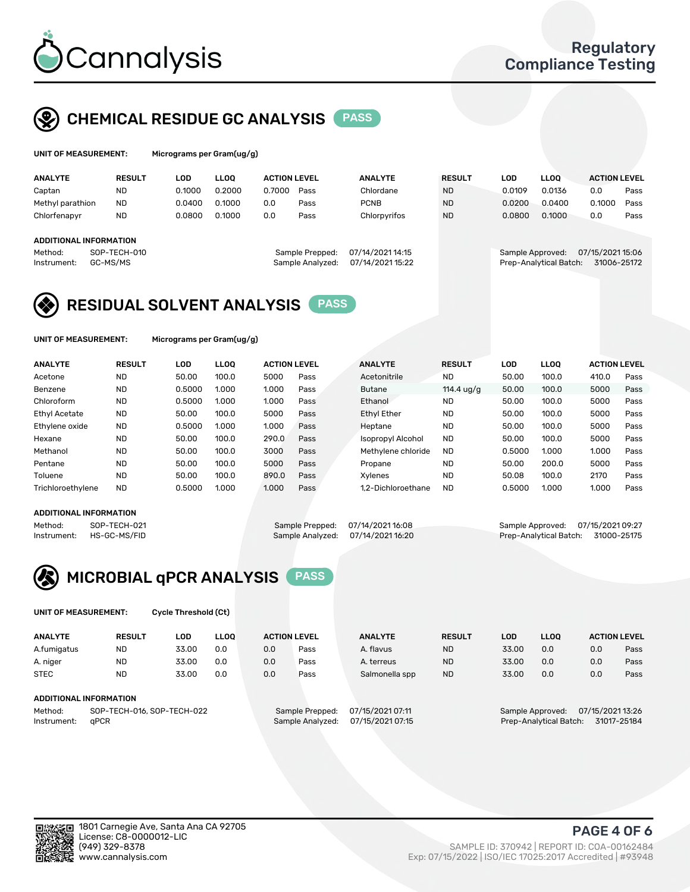

### CHEMICAL RESIDUE GC ANALYSIS PASS

| UNIT OF MEASUREMENT: | Microg |
|----------------------|--------|
|----------------------|--------|

grams per Gram(ug/g)

| <b>ANALYTE</b>                                   | <b>RESULT</b>            | LOD    | <b>LLOO</b> | <b>ACTION LEVEL</b> |                                     | <b>ANALYTE</b>                       | <b>RESULT</b> | <b>LOD</b> | <b>LLOO</b>                                | <b>ACTION LEVEL</b>             |      |
|--------------------------------------------------|--------------------------|--------|-------------|---------------------|-------------------------------------|--------------------------------------|---------------|------------|--------------------------------------------|---------------------------------|------|
| Captan                                           | ND                       | 0.1000 | 0.2000      | 0.7000              | Pass                                | Chlordane                            | <b>ND</b>     | 0.0109     | 0.0136                                     | 0.0                             | Pass |
| Methyl parathion                                 | <b>ND</b>                | 0.0400 | 0.1000      | 0.0                 | Pass                                | <b>PCNB</b>                          | <b>ND</b>     | 0.0200     | 0.0400                                     | 0.1000                          | Pass |
| Chlorfenapyr                                     | <b>ND</b>                | 0.0800 | 0.1000      | 0.0                 | Pass                                | Chlorpyrifos                         | <b>ND</b>     | 0.0800     | 0.1000                                     | 0.0                             | Pass |
| ADDITIONAL INFORMATION<br>Method:<br>Instrument: | SOP-TECH-010<br>GC-MS/MS |        |             |                     | Sample Prepped:<br>Sample Analyzed: | 07/14/2021 14:15<br>07/14/2021 15:22 |               |            | Sample Approved:<br>Prep-Analytical Batch: | 07/15/2021 15:06<br>31006-25172 |      |

### RESIDUAL SOLVENT ANALYSIS PASS

UNIT OF MEASUREMENT: Micrograms per Gram(ug/g)

| <b>ANALYTE</b>       | <b>RESULT</b> | LOD    | <b>LLOO</b> | <b>ACTION LEVEL</b> |      | <b>ANALYTE</b>           | <b>RESULT</b>       | <b>LOD</b> | <b>LLOO</b> | <b>ACTION LEVEL</b> |      |
|----------------------|---------------|--------|-------------|---------------------|------|--------------------------|---------------------|------------|-------------|---------------------|------|
| Acetone              | <b>ND</b>     | 50.00  | 100.0       | 5000                | Pass | Acetonitrile             | <b>ND</b>           | 50.00      | 100.0       | 410.0               | Pass |
| Benzene              | <b>ND</b>     | 0.5000 | 1.000       | 1.000               | Pass | <b>Butane</b>            | 114.4 $\frac{1}{9}$ | 50.00      | 100.0       | 5000                | Pass |
| Chloroform           | <b>ND</b>     | 0.5000 | 1.000       | 1.000               | Pass | Ethanol                  | <b>ND</b>           | 50.00      | 100.0       | 5000                | Pass |
| <b>Ethyl Acetate</b> | <b>ND</b>     | 50.00  | 100.0       | 5000                | Pass | <b>Ethyl Ether</b>       | <b>ND</b>           | 50.00      | 100.0       | 5000                | Pass |
| Ethylene oxide       | <b>ND</b>     | 0.5000 | 1.000       | 1.000               | Pass | Heptane                  | <b>ND</b>           | 50.00      | 100.0       | 5000                | Pass |
| Hexane               | <b>ND</b>     | 50.00  | 100.0       | 290.0               | Pass | <b>Isopropyl Alcohol</b> | <b>ND</b>           | 50.00      | 100.0       | 5000                | Pass |
| Methanol             | <b>ND</b>     | 50.00  | 100.0       | 3000                | Pass | Methylene chloride       | <b>ND</b>           | 0.5000     | 1.000       | 1.000               | Pass |
| Pentane              | <b>ND</b>     | 50.00  | 100.0       | 5000                | Pass | Propane                  | <b>ND</b>           | 50.00      | 200.0       | 5000                | Pass |
| Toluene              | <b>ND</b>     | 50.00  | 100.0       | 890.0               | Pass | Xvlenes                  | <b>ND</b>           | 50.08      | 100.0       | 2170                | Pass |
| Trichloroethylene    | <b>ND</b>     | 0.5000 | 1.000       | 1.000               | Pass | 1.2-Dichloroethane       | <b>ND</b>           | 0.5000     | 1.000       | 1.000               | Pass |

#### ADDITIONAL INFORMATION

Method: SOP-TECH-021 Sample Prepped: 07/14/2021 16:08 Sample Approved: 07/15/2021 09:27<br>Sample Analyzed: 07/14/2021 16:20 Prep-Analytical Batch: 31000-25175

Prep-Analytical Batch: 31000-25175



UNIT OF MEASUREMENT: Cycle Threshold (Ct)

| <b>ANALYTE</b>                        | <b>RESULT</b>          | LOD   | <b>LLOO</b>      |                  | <b>ACTION LEVEL</b> | <b>ANALYTE</b> | <b>RESULT</b>                         | <b>LOD</b>                           | <b>LLOO</b> |     | <b>ACTION LEVEL</b> |
|---------------------------------------|------------------------|-------|------------------|------------------|---------------------|----------------|---------------------------------------|--------------------------------------|-------------|-----|---------------------|
| A.fumigatus                           | <b>ND</b>              | 33.00 | 0.0              | 0.0              | Pass                | A. flavus      | <b>ND</b>                             | 33.00                                | 0.0         | 0.0 | Pass                |
| A. niger                              | <b>ND</b>              | 33.00 | 0.0              | 0.0              | Pass                | A. terreus     | <b>ND</b>                             | 33.00                                | 0.0         | 0.0 | Pass                |
| <b>STEC</b>                           | <b>ND</b>              | 33.00 | 0.0              | 0.0              | Pass                | Salmonella spp | <b>ND</b>                             | 33.00                                | 0.0         | 0.0 | Pass                |
|                                       | ADDITIONAL INFORMATION |       |                  |                  |                     |                |                                       |                                      |             |     |                     |
| SOP-TECH-016, SOP-TECH-022<br>Method: |                        |       |                  | Sample Prepped:  | 07/15/2021 07:11    |                |                                       | 07/15/2021 13:26<br>Sample Approved: |             |     |                     |
| aPCR<br>Instrument:                   |                        |       | Sample Analyzed: | 07/15/2021 07:15 |                     |                | 31017-25184<br>Prep-Analytical Batch: |                                      |             |     |                     |

PAGE 4 OF 6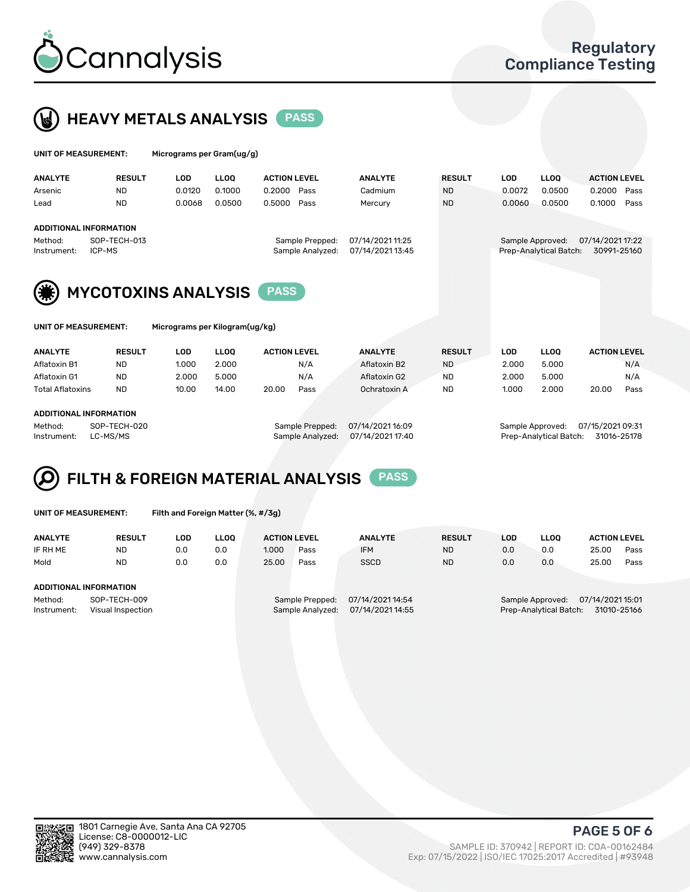



| UNIT OF MEASUREMENT: |                               | Micrograms per Gram(ug/g) |             |                     |                  |               |            |                        |                     |  |
|----------------------|-------------------------------|---------------------------|-------------|---------------------|------------------|---------------|------------|------------------------|---------------------|--|
| <b>ANALYTE</b>       | <b>RESULT</b>                 | <b>LOD</b>                | <b>LLOO</b> | <b>ACTION LEVEL</b> | <b>ANALYTE</b>   | <b>RESULT</b> | <b>LOD</b> | <b>LLOO</b>            | <b>ACTION LEVEL</b> |  |
| Arsenic              | <b>ND</b>                     | 0.0120                    | 0.1000      | 0.2000<br>Pass      | Cadmium          | <b>ND</b>     | 0.0072     | 0.0500                 | 0.2000<br>Pass      |  |
| Lead                 | <b>ND</b>                     | 0.0068                    | 0.0500      | 0.5000<br>Pass      | Mercury          | <b>ND</b>     | 0.0060     | 0.0500                 | 0.1000<br>Pass      |  |
|                      | <b>ADDITIONAL INFORMATION</b> |                           |             |                     |                  |               |            |                        |                     |  |
| Method:              | SOP-TECH-013                  |                           |             | Sample Prepped:     | 07/14/2021 11:25 |               |            | Sample Approved:       | 07/14/2021 17:22    |  |
| Instrument:          | ICP-MS                        |                           |             | Sample Analyzed:    | 07/14/2021 13:45 |               |            | Prep-Analytical Batch: | 30991-25160         |  |
| (美)                  | <b>MYCOTOXINS ANALYSIS</b>    |                           |             | <b>PASS</b>         |                  |               |            |                        |                     |  |
| UNIT OF MEASUREMENT: |                               |                           |             |                     |                  |               |            |                        |                     |  |

| <b>ANALYTE</b>          | <b>RESULT</b> | LOD   | <b>LLOO</b> | <b>ACTION LEVEL</b> |      | <b>ANALYTE</b> | <b>RESULT</b> | LOD   | <b>LLOO</b> | <b>ACTION LEVEL</b> |      |
|-------------------------|---------------|-------|-------------|---------------------|------|----------------|---------------|-------|-------------|---------------------|------|
| Aflatoxin B1            | ND            | 1.000 | 2.000       |                     | N/A  | Aflatoxin B2   | <b>ND</b>     | 2.000 | 5.000       |                     | N/A  |
| Aflatoxin G1            | <b>ND</b>     | 2.000 | 5.000       |                     | N/A  | Aflatoxin G2   | <b>ND</b>     | 2.000 | 5.000       |                     | N/A  |
| <b>Total Aflatoxins</b> | <b>ND</b>     | 10.00 | 14.00       | 20.00               | Pass | Ochratoxin A   | <b>ND</b>     | 1.000 | 2.000       | 20.00               | Pass |
|                         |               |       |             |                     |      |                |               |       |             |                     |      |
| ADDITIONAL INFORMATION  |               |       |             |                     |      |                |               |       |             |                     |      |

Method: SOP-TECH-020 Sample Prepped: 07/14/2021 16:09 Sample Approved: 07/15/2021 09:31 Instrument: LC-MS/MS Sample Analyzed: 07/14/2021 17:40 Prep-Analytical Batch: 31016-25178

## FILTH & FOREIGN MATERIAL ANALYSIS PASS

UNIT OF MEASUREMENT: Filth and Foreign Matter (%, #/3g)

| <b>ANALYTE</b>                                              | <b>RESULT</b> | LOD | <b>LLOO</b> | <b>ACTION LEVEL</b>                                                         |      | <b>ANALYTE</b> | <b>RESULT</b> | LOD                                                                           | <b>LLOO</b> | <b>ACTION LEVEL</b> |      |
|-------------------------------------------------------------|---------------|-----|-------------|-----------------------------------------------------------------------------|------|----------------|---------------|-------------------------------------------------------------------------------|-------------|---------------------|------|
| IF RH ME                                                    | <b>ND</b>     | 0.0 | 0.0         | 1.000                                                                       | Pass | <b>IFM</b>     | <b>ND</b>     | 0.0                                                                           | 0.0         | 25.00               | Pass |
| Mold                                                        | <b>ND</b>     | 0.0 | 0.0         | 25.00                                                                       | Pass | <b>SSCD</b>    | <b>ND</b>     | 0.0                                                                           | 0.0         | 25.00               | Pass |
| ADDITIONAL INFORMATION                                      |               |     |             |                                                                             |      |                |               |                                                                               |             |                     |      |
| Method:<br>SOP-TECH-009<br>Instrument:<br>Visual Inspection |               |     |             | 07/14/2021 14:54<br>Sample Prepped:<br>07/14/2021 14:55<br>Sample Analyzed: |      |                |               | 07/14/2021 15:01<br>Sample Approved:<br>Prep-Analytical Batch:<br>31010-25166 |             |                     |      |



PAGE 5 OF 6